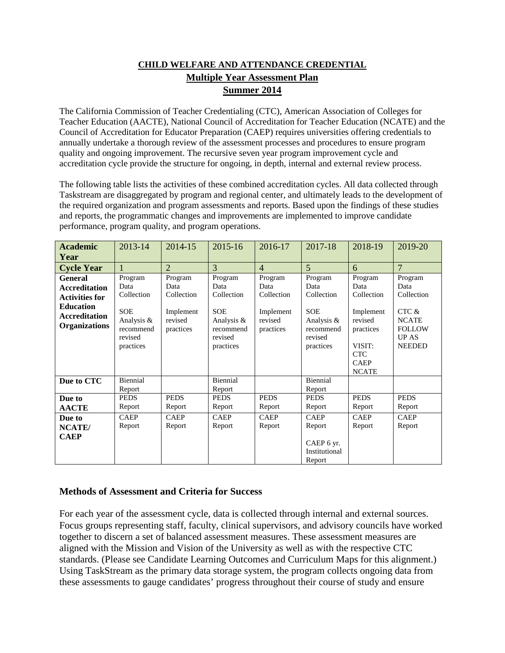## **CHILD WELFARE AND ATTENDANCE CREDENTIAL Multiple Year Assessment Plan Summer 2014**

The California Commission of Teacher Credentialing (CTC), American Association of Colleges for Teacher Education (AACTE), National Council of Accreditation for Teacher Education (NCATE) and the Council of Accreditation for Educator Preparation (CAEP) requires universities offering credentials to annually undertake a thorough review of the assessment processes and procedures to ensure program quality and ongoing improvement. The recursive seven year program improvement cycle and accreditation cycle provide the structure for ongoing, in depth, internal and external review process.

The following table lists the activities of these combined accreditation cycles. All data collected through Taskstream are disaggregated by program and regional center, and ultimately leads to the development of the required organization and program assessments and reports. Based upon the findings of these studies and reports, the programmatic changes and improvements are implemented to improve candidate performance, program quality, and program operations.

| <b>Academic</b><br>Year                                                                                                             | 2013-14                                                                                        | 2014-15                                                            | 2015-16                                                                                        | 2016-17                                                            | 2017-18                                                                                        | 2018-19                                                                                                                   | 2019-20                                                                                           |
|-------------------------------------------------------------------------------------------------------------------------------------|------------------------------------------------------------------------------------------------|--------------------------------------------------------------------|------------------------------------------------------------------------------------------------|--------------------------------------------------------------------|------------------------------------------------------------------------------------------------|---------------------------------------------------------------------------------------------------------------------------|---------------------------------------------------------------------------------------------------|
| <b>Cycle Year</b>                                                                                                                   |                                                                                                | $\mathcal{D}_{\cdot}$                                              | 3                                                                                              | $\overline{4}$                                                     | $\overline{5}$                                                                                 | 6                                                                                                                         | $\overline{7}$                                                                                    |
| <b>General</b><br><b>Accreditation</b><br><b>Activities for</b><br><b>Education</b><br><b>Accreditation</b><br><b>Organizations</b> | Program<br>Data<br>Collection<br><b>SOE</b><br>Analysis &<br>recommend<br>revised<br>practices | Program<br>Data<br>Collection<br>Implement<br>revised<br>practices | Program<br>Data<br>Collection<br><b>SOE</b><br>Analysis &<br>recommend<br>revised<br>practices | Program<br>Data<br>Collection<br>Implement<br>revised<br>practices | Program<br>Data<br>Collection<br><b>SOE</b><br>Analysis &<br>recommend<br>revised<br>practices | Program<br>Data<br>Collection<br>Implement<br>revised<br>practices<br>VISIT:<br><b>CTC</b><br><b>CAEP</b><br><b>NCATE</b> | Program<br>Data<br>Collection<br>CTC &<br><b>NCATE</b><br><b>FOLLOW</b><br>UP AS<br><b>NEEDED</b> |
| Due to CTC                                                                                                                          | Biennial<br>Report                                                                             |                                                                    | Biennial<br>Report                                                                             |                                                                    | Biennial<br>Report                                                                             |                                                                                                                           |                                                                                                   |
| Due to<br><b>AACTE</b>                                                                                                              | <b>PEDS</b><br>Report                                                                          | <b>PEDS</b><br>Report                                              | <b>PEDS</b><br>Report                                                                          | <b>PEDS</b><br>Report                                              | <b>PEDS</b><br>Report                                                                          | <b>PEDS</b><br>Report                                                                                                     | <b>PEDS</b><br>Report                                                                             |
| Due to<br>NCATE/<br><b>CAEP</b>                                                                                                     | <b>CAEP</b><br>Report                                                                          | <b>CAEP</b><br>Report                                              | <b>CAEP</b><br>Report                                                                          | <b>CAEP</b><br>Report                                              | <b>CAEP</b><br>Report<br>CAEP 6 yr.<br>Institutional<br>Report                                 | <b>CAEP</b><br>Report                                                                                                     | <b>CAEP</b><br>Report                                                                             |

### **Methods of Assessment and Criteria for Success**

For each year of the assessment cycle, data is collected through internal and external sources. Focus groups representing staff, faculty, clinical supervisors, and advisory councils have worked together to discern a set of balanced assessment measures. These assessment measures are aligned with the Mission and Vision of the University as well as with the respective CTC standards. (Please see Candidate Learning Outcomes and Curriculum Maps for this alignment.) Using TaskStream as the primary data storage system, the program collects ongoing data from these assessments to gauge candidates' progress throughout their course of study and ensure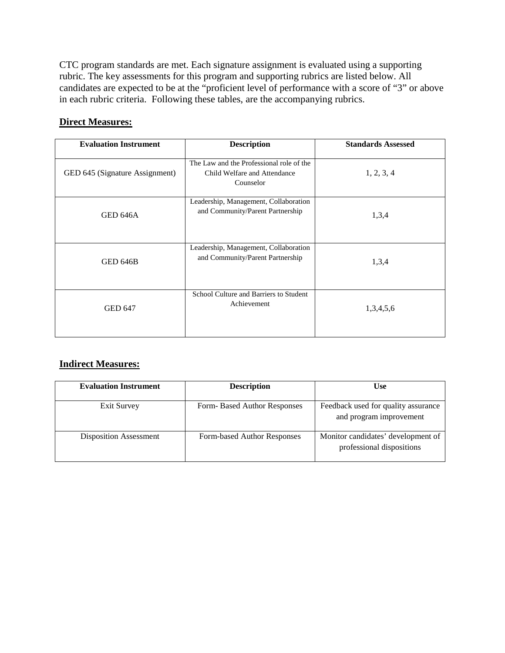CTC program standards are met. Each signature assignment is evaluated using a supporting rubric. The key assessments for this program and supporting rubrics are listed below. All candidates are expected to be at the "proficient level of performance with a score of "3" or above in each rubric criteria. Following these tables, are the accompanying rubrics.

#### **Direct Measures:**

| <b>Evaluation Instrument</b>   | <b>Description</b>                                                                    | <b>Standards Assessed</b> |
|--------------------------------|---------------------------------------------------------------------------------------|---------------------------|
| GED 645 (Signature Assignment) | The Law and the Professional role of the<br>Child Welfare and Attendance<br>Counselor | 1, 2, 3, 4                |
| GED 646A                       | Leadership, Management, Collaboration<br>and Community/Parent Partnership             | 1,3,4                     |
| <b>GED 646B</b>                | Leadership, Management, Collaboration<br>and Community/Parent Partnership             | 1,3,4                     |
| <b>GED 647</b>                 | School Culture and Barriers to Student<br>Achievement                                 | 1,3,4,5,6                 |

#### **Indirect Measures:**

| <b>Evaluation Instrument</b>  | <b>Description</b>          | <b>Use</b>                                                      |
|-------------------------------|-----------------------------|-----------------------------------------------------------------|
| <b>Exit Survey</b>            | Form-Based Author Responses | Feedback used for quality assurance                             |
|                               |                             | and program improvement                                         |
| <b>Disposition Assessment</b> | Form-based Author Responses | Monitor candidates' development of<br>professional dispositions |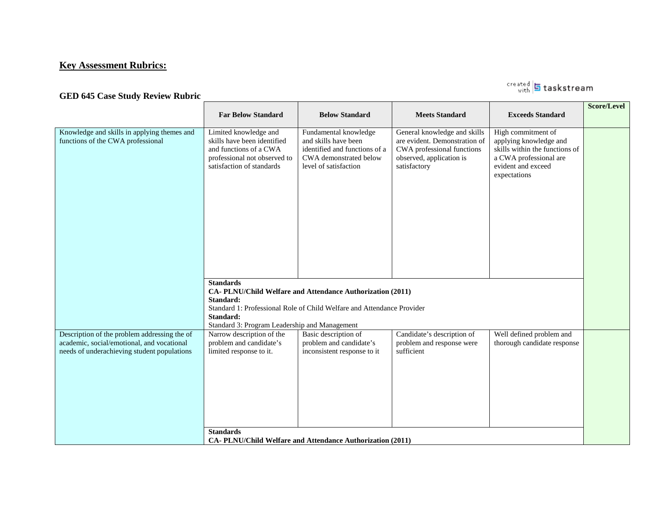## **Key Assessment Rubrics:**

## GED 645 Case Study Review Rubric **Construction of the CASE Case Study Review Rubric**

|                                                                                                                                           | <b>Far Below Standard</b>                                                                                                                                                                                                          | <b>Below Standard</b>                                                                                                             | <b>Meets Standard</b>                                                                                                                   | <b>Exceeds Standard</b>                                                                                                                        | Score/Level |  |  |
|-------------------------------------------------------------------------------------------------------------------------------------------|------------------------------------------------------------------------------------------------------------------------------------------------------------------------------------------------------------------------------------|-----------------------------------------------------------------------------------------------------------------------------------|-----------------------------------------------------------------------------------------------------------------------------------------|------------------------------------------------------------------------------------------------------------------------------------------------|-------------|--|--|
| Knowledge and skills in applying themes and<br>functions of the CWA professional                                                          | Limited knowledge and<br>skills have been identified<br>and functions of a CWA<br>professional not observed to<br>satisfaction of standards                                                                                        | Fundamental knowledge<br>and skills have been<br>identified and functions of a<br>CWA demonstrated below<br>level of satisfaction | General knowledge and skills<br>are evident. Demonstration of<br>CWA professional functions<br>observed, application is<br>satisfactory | High commitment of<br>applying knowledge and<br>skills within the functions of<br>a CWA professional are<br>evident and exceed<br>expectations |             |  |  |
|                                                                                                                                           | <b>Standards</b><br>CA-PLNU/Child Welfare and Attendance Authorization (2011)<br>Standard:<br>Standard 1: Professional Role of Child Welfare and Attendance Provider<br>Standard:<br>Standard 3: Program Leadership and Management |                                                                                                                                   |                                                                                                                                         |                                                                                                                                                |             |  |  |
| Description of the problem addressing the of<br>academic, social/emotional, and vocational<br>needs of underachieving student populations | Narrow description of the<br>problem and candidate's<br>limited response to it.                                                                                                                                                    | Basic description of<br>problem and candidate's<br>inconsistent response to it                                                    | Candidate's description of<br>problem and response were<br>sufficient                                                                   | Well defined problem and<br>thorough candidate response                                                                                        |             |  |  |
|                                                                                                                                           | <b>Standards</b><br>CA-PLNU/Child Welfare and Attendance Authorization (2011)                                                                                                                                                      |                                                                                                                                   |                                                                                                                                         |                                                                                                                                                |             |  |  |

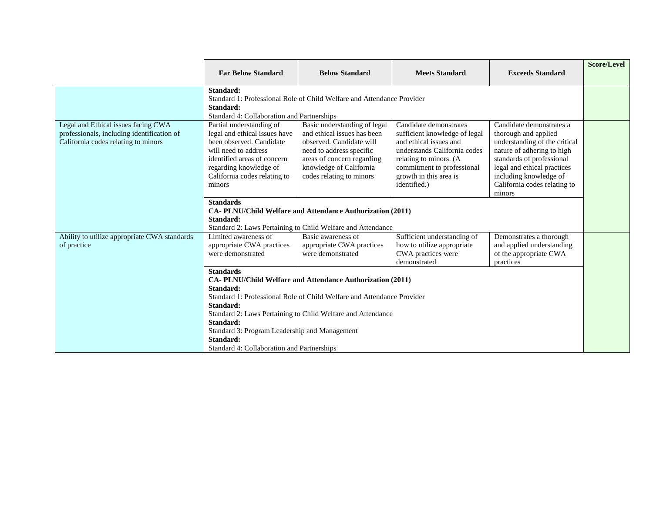|                                                                                                                          | <b>Far Below Standard</b>                                                                                                                                                                                                                                                                                                                                                 | <b>Below Standard</b>                                                                                                                                                                                    | <b>Meets Standard</b>                                                                                                                                                                                               | <b>Exceeds Standard</b>                                                                                                                                                                                                                         | <b>Score/Level</b> |
|--------------------------------------------------------------------------------------------------------------------------|---------------------------------------------------------------------------------------------------------------------------------------------------------------------------------------------------------------------------------------------------------------------------------------------------------------------------------------------------------------------------|----------------------------------------------------------------------------------------------------------------------------------------------------------------------------------------------------------|---------------------------------------------------------------------------------------------------------------------------------------------------------------------------------------------------------------------|-------------------------------------------------------------------------------------------------------------------------------------------------------------------------------------------------------------------------------------------------|--------------------|
|                                                                                                                          |                                                                                                                                                                                                                                                                                                                                                                           |                                                                                                                                                                                                          |                                                                                                                                                                                                                     |                                                                                                                                                                                                                                                 |                    |
|                                                                                                                          | Standard:<br>Standard:<br>Standard 4: Collaboration and Partnerships                                                                                                                                                                                                                                                                                                      | Standard 1: Professional Role of Child Welfare and Attendance Provider                                                                                                                                   |                                                                                                                                                                                                                     |                                                                                                                                                                                                                                                 |                    |
| Legal and Ethical issues facing CWA<br>professionals, including identification of<br>California codes relating to minors | Partial understanding of<br>legal and ethical issues have<br>been observed. Candidate<br>will need to address<br>identified areas of concern<br>regarding knowledge of<br>California codes relating to<br>minors                                                                                                                                                          | Basic understanding of legal<br>and ethical issues has been<br>observed. Candidate will<br>need to address specific<br>areas of concern regarding<br>knowledge of California<br>codes relating to minors | Candidate demonstrates<br>sufficient knowledge of legal<br>and ethical issues and<br>understands California codes<br>relating to minors. (A<br>commitment to professional<br>growth in this area is<br>identified.) | Candidate demonstrates a<br>thorough and applied<br>understanding of the critical<br>nature of adhering to high<br>standards of professional<br>legal and ethical practices<br>including knowledge of<br>California codes relating to<br>minors |                    |
|                                                                                                                          | <b>Standards</b><br>CA-PLNU/Child Welfare and Attendance Authorization (2011)<br>Standard:<br>Standard 2: Laws Pertaining to Child Welfare and Attendance                                                                                                                                                                                                                 |                                                                                                                                                                                                          |                                                                                                                                                                                                                     |                                                                                                                                                                                                                                                 |                    |
| Ability to utilize appropriate CWA standards<br>of practice                                                              | Limited awareness of<br>appropriate CWA practices<br>were demonstrated                                                                                                                                                                                                                                                                                                    | Basic awareness of<br>appropriate CWA practices<br>were demonstrated                                                                                                                                     | Sufficient understanding of<br>how to utilize appropriate<br>CWA practices were<br>demonstrated                                                                                                                     | Demonstrates a thorough<br>and applied understanding<br>of the appropriate CWA<br>practices                                                                                                                                                     |                    |
|                                                                                                                          | <b>Standards</b><br>CA-PLNU/Child Welfare and Attendance Authorization (2011)<br>Standard:<br>Standard 1: Professional Role of Child Welfare and Attendance Provider<br>Standard:<br>Standard 2: Laws Pertaining to Child Welfare and Attendance<br>Standard:<br>Standard 3: Program Leadership and Management<br>Standard:<br>Standard 4: Collaboration and Partnerships |                                                                                                                                                                                                          |                                                                                                                                                                                                                     |                                                                                                                                                                                                                                                 |                    |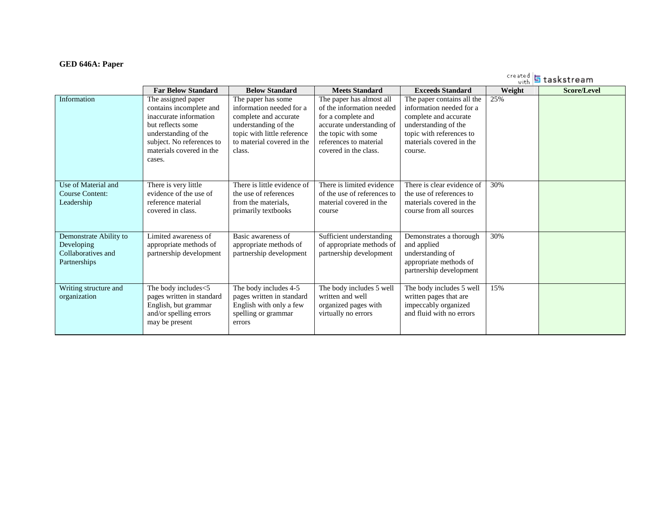#### **GED 646A: Paper**

|                                                                            |                                                                                                                                                                                         |                                                                                                                                                                        |                                                                                                                                                                                    |                                                                                                                                                                            |        | sreated <b>5</b> taskstream |
|----------------------------------------------------------------------------|-----------------------------------------------------------------------------------------------------------------------------------------------------------------------------------------|------------------------------------------------------------------------------------------------------------------------------------------------------------------------|------------------------------------------------------------------------------------------------------------------------------------------------------------------------------------|----------------------------------------------------------------------------------------------------------------------------------------------------------------------------|--------|-----------------------------|
|                                                                            | <b>Far Below Standard</b>                                                                                                                                                               | <b>Below Standard</b>                                                                                                                                                  | <b>Meets Standard</b>                                                                                                                                                              | <b>Exceeds Standard</b>                                                                                                                                                    | Weight | <b>Score/Level</b>          |
| Information                                                                | The assigned paper<br>contains incomplete and<br>inaccurate information<br>but reflects some<br>understanding of the<br>subject. No references to<br>materials covered in the<br>cases. | The paper has some<br>information needed for a<br>complete and accurate<br>understanding of the<br>topic with little reference<br>to material covered in the<br>class. | The paper has almost all<br>of the information needed<br>for a complete and<br>accurate understanding of<br>the topic with some<br>references to material<br>covered in the class. | The paper contains all the<br>information needed for a<br>complete and accurate<br>understanding of the<br>topic with references to<br>materials covered in the<br>course. | 25%    |                             |
| Use of Material and<br>Course Content:<br>Leadership                       | There is very little<br>evidence of the use of<br>reference material<br>covered in class.                                                                                               | There is little evidence of<br>the use of references<br>from the materials.<br>primarily textbooks                                                                     | There is limited evidence<br>of the use of references to<br>material covered in the<br>course                                                                                      | There is clear evidence of<br>the use of references to<br>materials covered in the<br>course from all sources                                                              | 30%    |                             |
| Demonstrate Ability to<br>Developing<br>Collaboratives and<br>Partnerships | Limited awareness of<br>appropriate methods of<br>partnership development                                                                                                               | Basic awareness of<br>appropriate methods of<br>partnership development                                                                                                | Sufficient understanding<br>of appropriate methods of<br>partnership development                                                                                                   | Demonstrates a thorough<br>and applied<br>understanding of<br>appropriate methods of<br>partnership development                                                            | 30%    |                             |
| Writing structure and<br>organization                                      | The body includes<5<br>pages written in standard<br>English, but grammar<br>and/or spelling errors<br>may be present                                                                    | The body includes 4-5<br>pages written in standard<br>English with only a few<br>spelling or grammar<br>errors                                                         | The body includes 5 well<br>written and well<br>organized pages with<br>virtually no errors                                                                                        | The body includes 5 well<br>written pages that are<br>impeccably organized<br>and fluid with no errors                                                                     | 15%    |                             |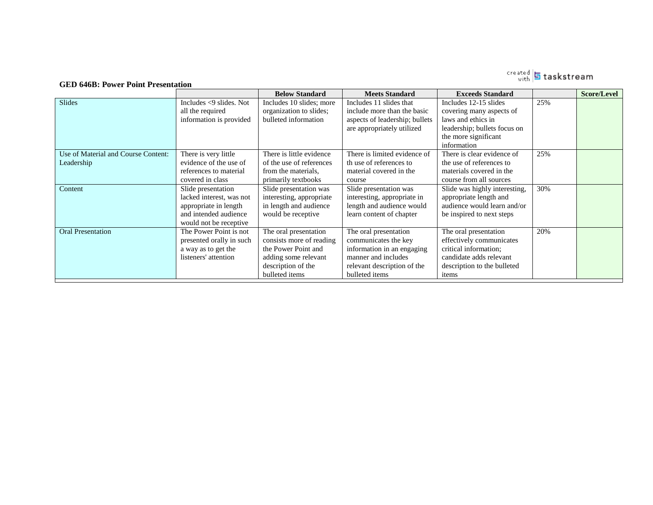# <sub>with</sub> 5 taskstream

#### **GED 646B: Power Point Presentation**

|                                     |                               | <b>Below Standard</b>    | <b>Meets Standard</b>          | <b>Exceeds Standard</b>       |     | <b>Score/Level</b> |
|-------------------------------------|-------------------------------|--------------------------|--------------------------------|-------------------------------|-----|--------------------|
| Slides                              | Includes $\leq$ 9 slides. Not | Includes 10 slides; more | Includes 11 slides that        | Includes 12-15 slides         | 25% |                    |
|                                     | all the required              | organization to slides;  | include more than the basic    | covering many aspects of      |     |                    |
|                                     | information is provided       | bulleted information     | aspects of leadership; bullets | laws and ethics in            |     |                    |
|                                     |                               |                          | are appropriately utilized     | leadership; bullets focus on  |     |                    |
|                                     |                               |                          |                                | the more significant          |     |                    |
|                                     |                               |                          |                                | information                   |     |                    |
| Use of Material and Course Content: | There is very little          | There is little evidence | There is limited evidence of   | There is clear evidence of    | 25% |                    |
| Leadership                          | evidence of the use of        | of the use of references | th use of references to        | the use of references to      |     |                    |
|                                     | references to material        | from the materials.      | material covered in the        | materials covered in the      |     |                    |
|                                     | covered in class              | primarily textbooks      | course                         | course from all sources       |     |                    |
| Content                             | Slide presentation            | Slide presentation was   | Slide presentation was         | Slide was highly interesting, | 30% |                    |
|                                     | lacked interest, was not      | interesting, appropriate | interesting, appropriate in    | appropriate length and        |     |                    |
|                                     | appropriate in length         | in length and audience   | length and audience would      | audience would learn and/or   |     |                    |
|                                     | and intended audience         | would be receptive       | learn content of chapter       | be inspired to next steps     |     |                    |
|                                     | would not be receptive        |                          |                                |                               |     |                    |
| <b>Oral Presentation</b>            | The Power Point is not        | The oral presentation    | The oral presentation          | The oral presentation         | 20% |                    |
|                                     | presented orally in such      | consists more of reading | communicates the key           | effectively communicates      |     |                    |
|                                     | a way as to get the           | the Power Point and      | information in an engaging     | critical information;         |     |                    |
|                                     | listeners' attention          | adding some relevant     | manner and includes            | candidate adds relevant       |     |                    |
|                                     |                               | description of the       | relevant description of the    | description to the bulleted   |     |                    |
|                                     |                               | bulleted items           | bulleted items                 | items                         |     |                    |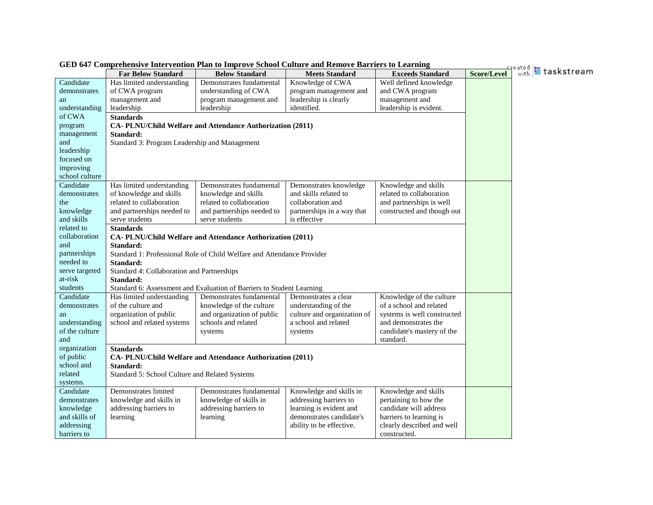|                                                                                                                                                                                                                                                                                           | GED 647 Comprehensive Intervention Plan to Improve School Culture and Remove Barriers to Learning                                                                                                                                                                                                                                                           |                                                                                                                                                                                                                                                                                                                                                        |                                                                                                                                                                                                                                                        |                                                                                                                                                                                                                                                                                                           |             |                      |
|-------------------------------------------------------------------------------------------------------------------------------------------------------------------------------------------------------------------------------------------------------------------------------------------|-------------------------------------------------------------------------------------------------------------------------------------------------------------------------------------------------------------------------------------------------------------------------------------------------------------------------------------------------------------|--------------------------------------------------------------------------------------------------------------------------------------------------------------------------------------------------------------------------------------------------------------------------------------------------------------------------------------------------------|--------------------------------------------------------------------------------------------------------------------------------------------------------------------------------------------------------------------------------------------------------|-----------------------------------------------------------------------------------------------------------------------------------------------------------------------------------------------------------------------------------------------------------------------------------------------------------|-------------|----------------------|
|                                                                                                                                                                                                                                                                                           | <b>Far Below Standard</b>                                                                                                                                                                                                                                                                                                                                   | <b>Below Standard</b>                                                                                                                                                                                                                                                                                                                                  | <b>Meets Standard</b>                                                                                                                                                                                                                                  | <b>Exceeds Standard</b>                                                                                                                                                                                                                                                                                   | Score/Level | Greated 5 taskstream |
| Candidate                                                                                                                                                                                                                                                                                 | Has limited understanding                                                                                                                                                                                                                                                                                                                                   | Demonstrates fundamental                                                                                                                                                                                                                                                                                                                               | Knowledge of CWA                                                                                                                                                                                                                                       | Well defined knowledge                                                                                                                                                                                                                                                                                    |             |                      |
| demonstrates                                                                                                                                                                                                                                                                              | of CWA program                                                                                                                                                                                                                                                                                                                                              | understanding of CWA                                                                                                                                                                                                                                                                                                                                   | program management and                                                                                                                                                                                                                                 | and CWA program                                                                                                                                                                                                                                                                                           |             |                      |
| an                                                                                                                                                                                                                                                                                        | management and                                                                                                                                                                                                                                                                                                                                              | program management and                                                                                                                                                                                                                                                                                                                                 | leadership is clearly                                                                                                                                                                                                                                  | management and                                                                                                                                                                                                                                                                                            |             |                      |
| understanding                                                                                                                                                                                                                                                                             | leadership                                                                                                                                                                                                                                                                                                                                                  | leadership                                                                                                                                                                                                                                                                                                                                             | identified.                                                                                                                                                                                                                                            | leadership is evident.                                                                                                                                                                                                                                                                                    |             |                      |
| of CWA                                                                                                                                                                                                                                                                                    | <b>Standards</b>                                                                                                                                                                                                                                                                                                                                            |                                                                                                                                                                                                                                                                                                                                                        |                                                                                                                                                                                                                                                        |                                                                                                                                                                                                                                                                                                           |             |                      |
| program                                                                                                                                                                                                                                                                                   |                                                                                                                                                                                                                                                                                                                                                             | CA-PLNU/Child Welfare and Attendance Authorization (2011)                                                                                                                                                                                                                                                                                              |                                                                                                                                                                                                                                                        |                                                                                                                                                                                                                                                                                                           |             |                      |
| management                                                                                                                                                                                                                                                                                | Standard:                                                                                                                                                                                                                                                                                                                                                   |                                                                                                                                                                                                                                                                                                                                                        |                                                                                                                                                                                                                                                        |                                                                                                                                                                                                                                                                                                           |             |                      |
| and                                                                                                                                                                                                                                                                                       | Standard 3: Program Leadership and Management                                                                                                                                                                                                                                                                                                               |                                                                                                                                                                                                                                                                                                                                                        |                                                                                                                                                                                                                                                        |                                                                                                                                                                                                                                                                                                           |             |                      |
| leadership                                                                                                                                                                                                                                                                                |                                                                                                                                                                                                                                                                                                                                                             |                                                                                                                                                                                                                                                                                                                                                        |                                                                                                                                                                                                                                                        |                                                                                                                                                                                                                                                                                                           |             |                      |
| focused on                                                                                                                                                                                                                                                                                |                                                                                                                                                                                                                                                                                                                                                             |                                                                                                                                                                                                                                                                                                                                                        |                                                                                                                                                                                                                                                        |                                                                                                                                                                                                                                                                                                           |             |                      |
| improving                                                                                                                                                                                                                                                                                 |                                                                                                                                                                                                                                                                                                                                                             |                                                                                                                                                                                                                                                                                                                                                        |                                                                                                                                                                                                                                                        |                                                                                                                                                                                                                                                                                                           |             |                      |
| school culture                                                                                                                                                                                                                                                                            |                                                                                                                                                                                                                                                                                                                                                             |                                                                                                                                                                                                                                                                                                                                                        |                                                                                                                                                                                                                                                        |                                                                                                                                                                                                                                                                                                           |             |                      |
| Candidate                                                                                                                                                                                                                                                                                 | Has limited understanding                                                                                                                                                                                                                                                                                                                                   | Demonstrates fundamental                                                                                                                                                                                                                                                                                                                               | Demonstrates knowledge                                                                                                                                                                                                                                 | Knowledge and skills                                                                                                                                                                                                                                                                                      |             |                      |
| demonstrates                                                                                                                                                                                                                                                                              | of knowledge and skills                                                                                                                                                                                                                                                                                                                                     | knowledge and skills                                                                                                                                                                                                                                                                                                                                   | and skills related to                                                                                                                                                                                                                                  | related to collaboration                                                                                                                                                                                                                                                                                  |             |                      |
| the                                                                                                                                                                                                                                                                                       | related to collaboration                                                                                                                                                                                                                                                                                                                                    | related to collaboration                                                                                                                                                                                                                                                                                                                               | collaboration and                                                                                                                                                                                                                                      | and partnerships is well                                                                                                                                                                                                                                                                                  |             |                      |
| knowledge                                                                                                                                                                                                                                                                                 | and partnerships needed to                                                                                                                                                                                                                                                                                                                                  | and partnerships needed to                                                                                                                                                                                                                                                                                                                             | partnerships in a way that                                                                                                                                                                                                                             | constructed and though out                                                                                                                                                                                                                                                                                |             |                      |
| and skills                                                                                                                                                                                                                                                                                | serve students                                                                                                                                                                                                                                                                                                                                              | serve students                                                                                                                                                                                                                                                                                                                                         | is effective                                                                                                                                                                                                                                           |                                                                                                                                                                                                                                                                                                           |             |                      |
| related to                                                                                                                                                                                                                                                                                | <b>Standards</b>                                                                                                                                                                                                                                                                                                                                            |                                                                                                                                                                                                                                                                                                                                                        |                                                                                                                                                                                                                                                        |                                                                                                                                                                                                                                                                                                           |             |                      |
| collaboration                                                                                                                                                                                                                                                                             |                                                                                                                                                                                                                                                                                                                                                             | CA-PLNU/Child Welfare and Attendance Authorization (2011)                                                                                                                                                                                                                                                                                              |                                                                                                                                                                                                                                                        |                                                                                                                                                                                                                                                                                                           |             |                      |
| and                                                                                                                                                                                                                                                                                       | Standard:                                                                                                                                                                                                                                                                                                                                                   |                                                                                                                                                                                                                                                                                                                                                        |                                                                                                                                                                                                                                                        |                                                                                                                                                                                                                                                                                                           |             |                      |
| partnerships                                                                                                                                                                                                                                                                              |                                                                                                                                                                                                                                                                                                                                                             | Standard 1: Professional Role of Child Welfare and Attendance Provider                                                                                                                                                                                                                                                                                 |                                                                                                                                                                                                                                                        |                                                                                                                                                                                                                                                                                                           |             |                      |
|                                                                                                                                                                                                                                                                                           |                                                                                                                                                                                                                                                                                                                                                             |                                                                                                                                                                                                                                                                                                                                                        |                                                                                                                                                                                                                                                        |                                                                                                                                                                                                                                                                                                           |             |                      |
|                                                                                                                                                                                                                                                                                           |                                                                                                                                                                                                                                                                                                                                                             |                                                                                                                                                                                                                                                                                                                                                        |                                                                                                                                                                                                                                                        |                                                                                                                                                                                                                                                                                                           |             |                      |
|                                                                                                                                                                                                                                                                                           |                                                                                                                                                                                                                                                                                                                                                             |                                                                                                                                                                                                                                                                                                                                                        |                                                                                                                                                                                                                                                        |                                                                                                                                                                                                                                                                                                           |             |                      |
|                                                                                                                                                                                                                                                                                           |                                                                                                                                                                                                                                                                                                                                                             |                                                                                                                                                                                                                                                                                                                                                        |                                                                                                                                                                                                                                                        |                                                                                                                                                                                                                                                                                                           |             |                      |
|                                                                                                                                                                                                                                                                                           |                                                                                                                                                                                                                                                                                                                                                             |                                                                                                                                                                                                                                                                                                                                                        |                                                                                                                                                                                                                                                        |                                                                                                                                                                                                                                                                                                           |             |                      |
|                                                                                                                                                                                                                                                                                           |                                                                                                                                                                                                                                                                                                                                                             |                                                                                                                                                                                                                                                                                                                                                        |                                                                                                                                                                                                                                                        |                                                                                                                                                                                                                                                                                                           |             |                      |
|                                                                                                                                                                                                                                                                                           |                                                                                                                                                                                                                                                                                                                                                             |                                                                                                                                                                                                                                                                                                                                                        |                                                                                                                                                                                                                                                        |                                                                                                                                                                                                                                                                                                           |             |                      |
|                                                                                                                                                                                                                                                                                           |                                                                                                                                                                                                                                                                                                                                                             |                                                                                                                                                                                                                                                                                                                                                        |                                                                                                                                                                                                                                                        |                                                                                                                                                                                                                                                                                                           |             |                      |
|                                                                                                                                                                                                                                                                                           |                                                                                                                                                                                                                                                                                                                                                             |                                                                                                                                                                                                                                                                                                                                                        |                                                                                                                                                                                                                                                        |                                                                                                                                                                                                                                                                                                           |             |                      |
|                                                                                                                                                                                                                                                                                           |                                                                                                                                                                                                                                                                                                                                                             |                                                                                                                                                                                                                                                                                                                                                        |                                                                                                                                                                                                                                                        |                                                                                                                                                                                                                                                                                                           |             |                      |
|                                                                                                                                                                                                                                                                                           |                                                                                                                                                                                                                                                                                                                                                             |                                                                                                                                                                                                                                                                                                                                                        |                                                                                                                                                                                                                                                        |                                                                                                                                                                                                                                                                                                           |             |                      |
|                                                                                                                                                                                                                                                                                           |                                                                                                                                                                                                                                                                                                                                                             |                                                                                                                                                                                                                                                                                                                                                        |                                                                                                                                                                                                                                                        |                                                                                                                                                                                                                                                                                                           |             |                      |
|                                                                                                                                                                                                                                                                                           |                                                                                                                                                                                                                                                                                                                                                             |                                                                                                                                                                                                                                                                                                                                                        |                                                                                                                                                                                                                                                        |                                                                                                                                                                                                                                                                                                           |             |                      |
|                                                                                                                                                                                                                                                                                           |                                                                                                                                                                                                                                                                                                                                                             |                                                                                                                                                                                                                                                                                                                                                        |                                                                                                                                                                                                                                                        |                                                                                                                                                                                                                                                                                                           |             |                      |
|                                                                                                                                                                                                                                                                                           |                                                                                                                                                                                                                                                                                                                                                             |                                                                                                                                                                                                                                                                                                                                                        |                                                                                                                                                                                                                                                        |                                                                                                                                                                                                                                                                                                           |             |                      |
|                                                                                                                                                                                                                                                                                           |                                                                                                                                                                                                                                                                                                                                                             |                                                                                                                                                                                                                                                                                                                                                        |                                                                                                                                                                                                                                                        |                                                                                                                                                                                                                                                                                                           |             |                      |
|                                                                                                                                                                                                                                                                                           |                                                                                                                                                                                                                                                                                                                                                             |                                                                                                                                                                                                                                                                                                                                                        |                                                                                                                                                                                                                                                        |                                                                                                                                                                                                                                                                                                           |             |                      |
|                                                                                                                                                                                                                                                                                           |                                                                                                                                                                                                                                                                                                                                                             |                                                                                                                                                                                                                                                                                                                                                        |                                                                                                                                                                                                                                                        |                                                                                                                                                                                                                                                                                                           |             |                      |
|                                                                                                                                                                                                                                                                                           |                                                                                                                                                                                                                                                                                                                                                             |                                                                                                                                                                                                                                                                                                                                                        |                                                                                                                                                                                                                                                        |                                                                                                                                                                                                                                                                                                           |             |                      |
|                                                                                                                                                                                                                                                                                           |                                                                                                                                                                                                                                                                                                                                                             |                                                                                                                                                                                                                                                                                                                                                        |                                                                                                                                                                                                                                                        |                                                                                                                                                                                                                                                                                                           |             |                      |
| needed to<br>serve targeted<br>at-risk<br>students<br>Candidate<br>demonstrates<br>an<br>understanding<br>of the culture<br>and<br>organization<br>of public<br>school and<br>related<br>systems.<br>Candidate<br>demonstrates<br>knowledge<br>and skills of<br>addressing<br>barriers to | Standard:<br>Standard 4: Collaboration and Partnerships<br>Standard:<br>Has limited understanding<br>of the culture and<br>organization of public<br>school and related systems<br><b>Standards</b><br>Standard:<br>Standard 5: School Culture and Related Systems<br>Demonstrates limited<br>knowledge and skills in<br>addressing barriers to<br>learning | Standard 6: Assessment and Evaluation of Barriers to Student Learning<br>Demonstrates fundamental<br>knowledge of the culture<br>and organization of public<br>schools and related<br>systems<br>CA-PLNU/Child Welfare and Attendance Authorization (2011)<br>Demonstrates fundamental<br>knowledge of skills in<br>addressing barriers to<br>learning | Demonstrates a clear<br>understanding of the<br>culture and organization of<br>a school and related<br>systems<br>Knowledge and skills in<br>addressing barriers to<br>learning is evident and<br>demonstrates candidate's<br>ability to be effective. | Knowledge of the culture<br>of a school and related<br>systems is well constructed<br>and demonstrates the<br>candidate's mastery of the<br>standard.<br>Knowledge and skills<br>pertaining to how the<br>candidate will address<br>barriers to learning is<br>clearly described and well<br>constructed. |             |                      |

**GED 647 Comprehensive Intervention Plan to Improve School Culture and Remove Barriers to Learning**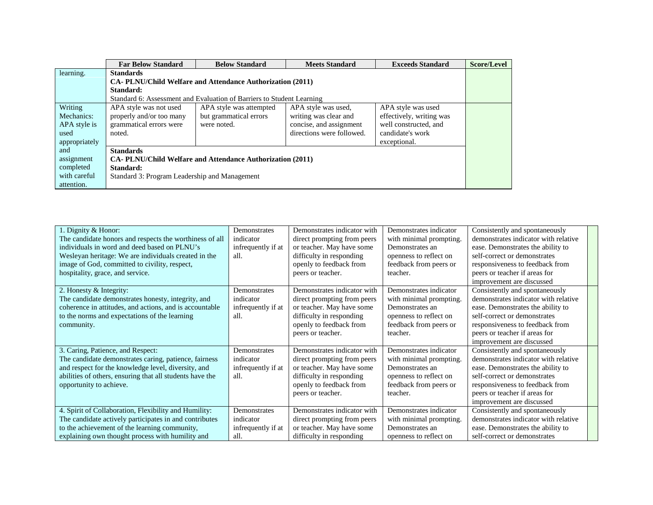|               | <b>Far Below Standard</b>                                        | <b>Below Standard</b>                                                 | <b>Meets Standard</b>     | <b>Exceeds Standard</b>  | <b>Score/Level</b> |  |  |
|---------------|------------------------------------------------------------------|-----------------------------------------------------------------------|---------------------------|--------------------------|--------------------|--|--|
| learning.     | <b>Standards</b>                                                 |                                                                       |                           |                          |                    |  |  |
|               | <b>CA-PLNU/Child Welfare and Attendance Authorization (2011)</b> |                                                                       |                           |                          |                    |  |  |
|               | Standard:                                                        |                                                                       |                           |                          |                    |  |  |
|               |                                                                  | Standard 6: Assessment and Evaluation of Barriers to Student Learning |                           |                          |                    |  |  |
| Writing       | APA style was not used                                           | APA style was attempted                                               | APA style was used,       | APA style was used       |                    |  |  |
| Mechanics:    | properly and/or too many                                         | but grammatical errors                                                | writing was clear and     | effectively, writing was |                    |  |  |
| APA style is  | grammatical errors were                                          | were noted.                                                           | concise, and assignment   | well constructed, and    |                    |  |  |
| used          | noted.                                                           |                                                                       | directions were followed. | candidate's work         |                    |  |  |
| appropriately |                                                                  |                                                                       |                           | exceptional.             |                    |  |  |
| and           | <b>Standards</b>                                                 |                                                                       |                           |                          |                    |  |  |
| assignment    |                                                                  | <b>CA-PLNU/Child Welfare and Attendance Authorization (2011)</b>      |                           |                          |                    |  |  |
| completed     | Standard:                                                        |                                                                       |                           |                          |                    |  |  |
| with careful  | Standard 3: Program Leadership and Management                    |                                                                       |                           |                          |                    |  |  |
| attention.    |                                                                  |                                                                       |                           |                          |                    |  |  |

| 1. Dignity & Honor:                                      | Demonstrates       | Demonstrates indicator with | Demonstrates indicator  | Consistently and spontaneously       |
|----------------------------------------------------------|--------------------|-----------------------------|-------------------------|--------------------------------------|
| The candidate honors and respects the worthiness of all  | indicator          | direct prompting from peers | with minimal prompting. | demonstrates indicator with relative |
| individuals in word and deed based on PLNU's             | infrequently if at | or teacher. May have some   | Demonstrates an         | ease. Demonstrates the ability to    |
| Wesleyan heritage: We are individuals created in the     | all.               | difficulty in responding    | openness to reflect on  | self-correct or demonstrates         |
| image of God, committed to civility, respect,            |                    | openly to feedback from     | feedback from peers or  | responsiveness to feedback from      |
| hospitality, grace, and service.                         |                    | peers or teacher.           | teacher.                | peers or teacher if areas for        |
|                                                          |                    |                             |                         | improvement are discussed            |
| 2. Honesty & Integrity:                                  | Demonstrates       | Demonstrates indicator with | Demonstrates indicator  | Consistently and spontaneously       |
| The candidate demonstrates honesty, integrity, and       | indicator          | direct prompting from peers | with minimal prompting. | demonstrates indicator with relative |
| coherence in attitudes, and actions, and is accountable  | infrequently if at | or teacher. May have some   | Demonstrates an         | ease. Demonstrates the ability to    |
| to the norms and expectations of the learning            | all.               | difficulty in responding    | openness to reflect on  | self-correct or demonstrates         |
| community.                                               |                    | openly to feedback from     | feedback from peers or  | responsiveness to feedback from      |
|                                                          |                    | peers or teacher.           | teacher.                | peers or teacher if areas for        |
|                                                          |                    |                             |                         | improvement are discussed            |
| 3. Caring, Patience, and Respect:                        | Demonstrates       | Demonstrates indicator with | Demonstrates indicator  | Consistently and spontaneously       |
| The candidate demonstrates caring, patience, fairness    | indicator          | direct prompting from peers | with minimal prompting. | demonstrates indicator with relative |
| and respect for the knowledge level, diversity, and      | infrequently if at | or teacher. May have some   | Demonstrates an         | ease. Demonstrates the ability to    |
| abilities of others, ensuring that all students have the | all.               | difficulty in responding    | openness to reflect on  | self-correct or demonstrates         |
| opportunity to achieve.                                  |                    | openly to feedback from     | feedback from peers or  | responsiveness to feedback from      |
|                                                          |                    | peers or teacher.           | teacher.                | peers or teacher if areas for        |
|                                                          |                    |                             |                         | improvement are discussed            |
| 4. Spirit of Collaboration, Flexibility and Humility:    | Demonstrates       | Demonstrates indicator with | Demonstrates indicator  | Consistently and spontaneously       |
| The candidate actively participates in and contributes   | indicator          | direct prompting from peers | with minimal prompting. | demonstrates indicator with relative |
| to the achievement of the learning community,            | infrequently if at | or teacher. May have some   | Demonstrates an         | ease. Demonstrates the ability to    |
| explaining own thought process with humility and         | all.               | difficulty in responding    | openness to reflect on  | self-correct or demonstrates         |